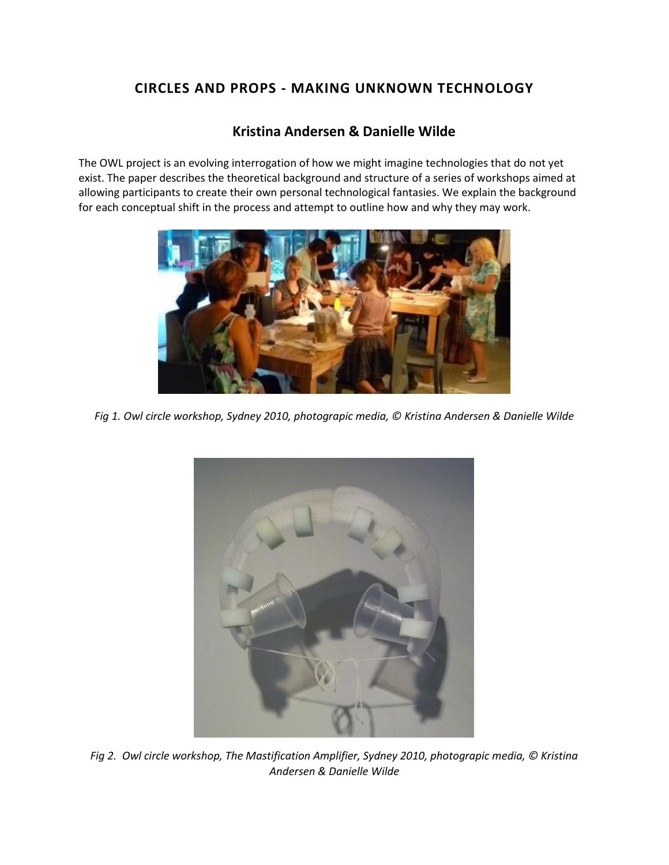# **CIRCLES AND PROPS - MAKING UNKNOWN TECHNOLOGY**

## **Kristina Andersen & Danielle Wilde**

The OWL project is an evolving interrogation of how we might imagine technologies that do not yet exist. The paper describes the theoretical background and structure of a series of workshops aimed at allowing participants to create their own personal technological fantasies. We explain the background for each conceptual shift in the process and attempt to outline how and why they may work.



*Fig 1. Owl circle workshop, Sydney 2010, photograpic media, © Kristina Andersen & Danielle Wilde*



*Fig 2. Owl circle workshop, The Mastification Amplifier, Sydney 2010, photograpic media, © Kristina Andersen & Danielle Wilde*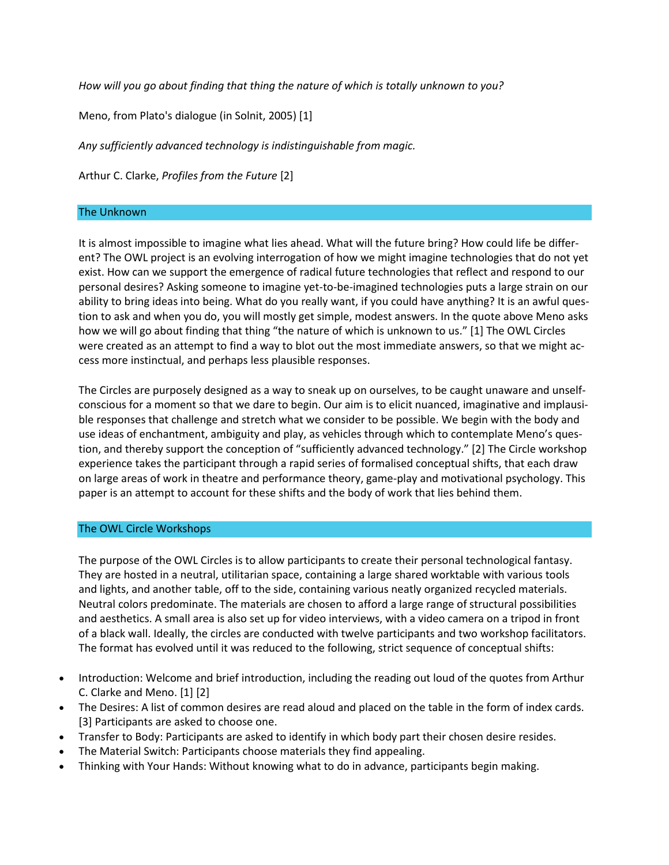*How will you go about finding that thing the nature of which is totally unknown to you?*

Meno, from Plato's dialogue (in Solnit, 2005) [1]

*Any sufficiently advanced technology is indistinguishable from magic.*

Arthur C. Clarke, *Profiles from the Future* [2]

#### The Unknown

It is almost impossible to imagine what lies ahead. What will the future bring? How could life be different? The OWL project is an evolving interrogation of how we might imagine technologies that do not yet exist. How can we support the emergence of radical future technologies that reflect and respond to our personal desires? Asking someone to imagine yet-to-be-imagined technologies puts a large strain on our ability to bring ideas into being. What do you really want, if you could have anything? It is an awful question to ask and when you do, you will mostly get simple, modest answers. In the quote above Meno asks how we will go about finding that thing "the nature of which is unknown to us." [1] The OWL Circles were created as an attempt to find a way to blot out the most immediate answers, so that we might access more instinctual, and perhaps less plausible responses.

The Circles are purposely designed as a way to sneak up on ourselves, to be caught unaware and unselfconscious for a moment so that we dare to begin. Our aim is to elicit nuanced, imaginative and implausible responses that challenge and stretch what we consider to be possible. We begin with the body and use ideas of enchantment, ambiguity and play, as vehicles through which to contemplate Meno's question, and thereby support the conception of "sufficiently advanced technology." [2] The Circle workshop experience takes the participant through a rapid series of formalised conceptual shifts, that each draw on large areas of work in theatre and performance theory, game-play and motivational psychology. This paper is an attempt to account for these shifts and the body of work that lies behind them.

#### The OWL Circle Workshops

The purpose of the OWL Circles is to allow participants to create their personal technological fantasy. They are hosted in a neutral, utilitarian space, containing a large shared worktable with various tools and lights, and another table, off to the side, containing various neatly organized recycled materials. Neutral colors predominate. The materials are chosen to afford a large range of structural possibilities and aesthetics. A small area is also set up for video interviews, with a video camera on a tripod in front of a black wall. Ideally, the circles are conducted with twelve participants and two workshop facilitators. The format has evolved until it was reduced to the following, strict sequence of conceptual shifts:

- Introduction: Welcome and brief introduction, including the reading out loud of the quotes from Arthur C. Clarke and Meno. [1] [2]
- The Desires: A list of common desires are read aloud and placed on the table in the form of index cards. [3] Participants are asked to choose one.
- Transfer to Body: Participants are asked to identify in which body part their chosen desire resides.
- The Material Switch: Participants choose materials they find appealing.
- Thinking with Your Hands: Without knowing what to do in advance, participants begin making.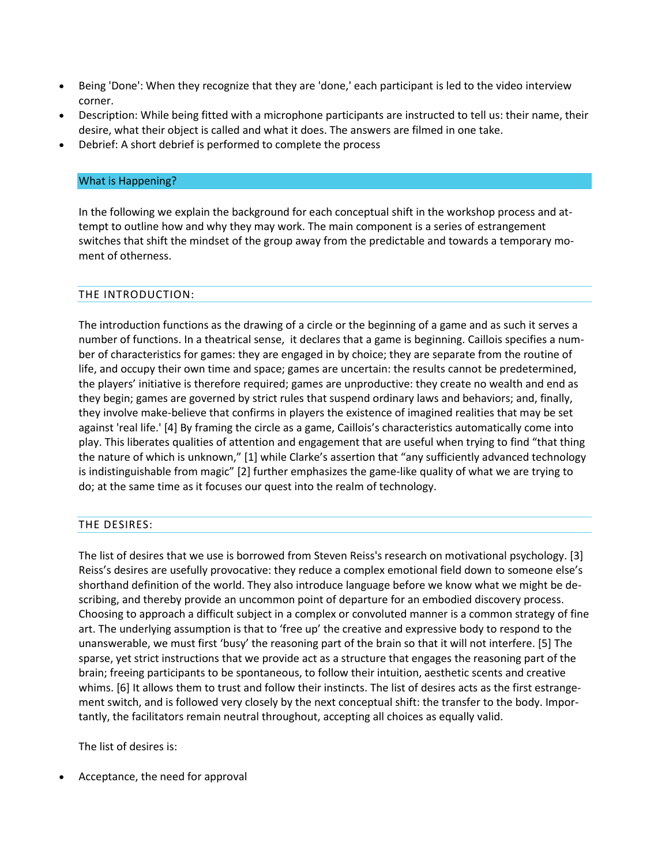- Being 'Done': When they recognize that they are 'done,' each participant is led to the video interview corner.
- Description: While being fitted with a microphone participants are instructed to tell us: their name, their desire, what their object is called and what it does. The answers are filmed in one take.
- Debrief: A short debrief is performed to complete the process

## What is Happening?

In the following we explain the background for each conceptual shift in the workshop process and attempt to outline how and why they may work. The main component is a series of estrangement switches that shift the mindset of the group away from the predictable and towards a temporary moment of otherness.

### THE INTRODUCTION:

The introduction functions as the drawing of a circle or the beginning of a game and as such it serves a number of functions. In a theatrical sense, it declares that a game is beginning. Caillois specifies a number of characteristics for games: they are engaged in by choice; they are separate from the routine of life, and occupy their own time and space; games are uncertain: the results cannot be predetermined, the players' initiative is therefore required; games are unproductive: they create no wealth and end as they begin; games are governed by strict rules that suspend ordinary laws and behaviors; and, finally, they involve make-believe that confirms in players the existence of imagined realities that may be set against 'real life.' [4] By framing the circle as a game, Caillois's characteristics automatically come into play. This liberates qualities of attention and engagement that are useful when trying to find "that thing the nature of which is unknown," [1] while Clarke's assertion that "any sufficiently advanced technology is indistinguishable from magic" [2] further emphasizes the game-like quality of what we are trying to do; at the same time as it focuses our quest into the realm of technology.

## THE DESIRES:

The list of desires that we use is borrowed from Steven Reiss's research on motivational psychology. [3] Reiss's desires are usefully provocative: they reduce a complex emotional field down to someone else's shorthand definition of the world. They also introduce language before we know what we might be describing, and thereby provide an uncommon point of departure for an embodied discovery process. Choosing to approach a difficult subject in a complex or convoluted manner is a common strategy of fine art. The underlying assumption is that to 'free up' the creative and expressive body to respond to the unanswerable, we must first 'busy' the reasoning part of the brain so that it will not interfere. [5] The sparse, yet strict instructions that we provide act as a structure that engages the reasoning part of the brain; freeing participants to be spontaneous, to follow their intuition, aesthetic scents and creative whims. [6] It allows them to trust and follow their instincts. The list of desires acts as the first estrangement switch, and is followed very closely by the next conceptual shift: the transfer to the body. Importantly, the facilitators remain neutral throughout, accepting all choices as equally valid.

The list of desires is:

Acceptance, the need for approval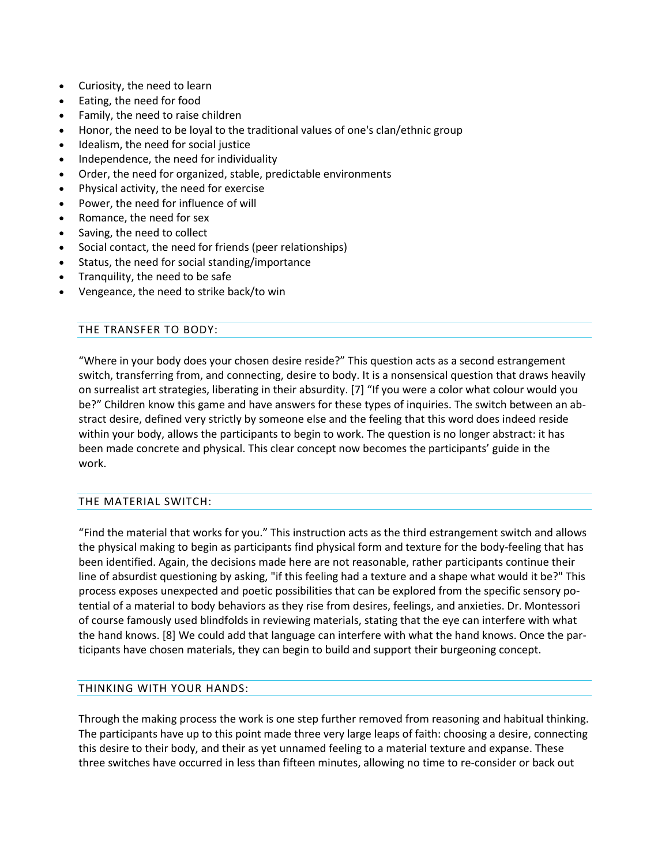- Curiosity, the need to learn
- Eating, the need for food
- Family, the need to raise children
- Honor, the need to be loyal to the traditional values of one's clan/ethnic group
- Idealism, the need for social justice
- Independence, the need for individuality
- Order, the need for organized, stable, predictable environments
- Physical activity, the need for exercise
- Power, the need for influence of will
- Romance, the need for sex
- Saving, the need to collect
- Social contact, the need for friends (peer relationships)
- Status, the need for social standing/importance
- Tranquility, the need to be safe
- Vengeance, the need to strike back/to win

## THE TRANSFER TO BODY:

"Where in your body does your chosen desire reside?" This question acts as a second estrangement switch, transferring from, and connecting, desire to body. It is a nonsensical question that draws heavily on surrealist art strategies, liberating in their absurdity. [7] "If you were a color what colour would you be?" Children know this game and have answers for these types of inquiries. The switch between an abstract desire, defined very strictly by someone else and the feeling that this word does indeed reside within your body, allows the participants to begin to work. The question is no longer abstract: it has been made concrete and physical. This clear concept now becomes the participants' guide in the work.

## THE MATERIAL SWITCH:

"Find the material that works for you." This instruction acts as the third estrangement switch and allows the physical making to begin as participants find physical form and texture for the body-feeling that has been identified. Again, the decisions made here are not reasonable, rather participants continue their line of absurdist questioning by asking, "if this feeling had a texture and a shape what would it be?" This process exposes unexpected and poetic possibilities that can be explored from the specific sensory potential of a material to body behaviors as they rise from desires, feelings, and anxieties. Dr. Montessori of course famously used blindfolds in reviewing materials, stating that the eye can interfere with what the hand knows. [8] We could add that language can interfere with what the hand knows. Once the participants have chosen materials, they can begin to build and support their burgeoning concept.

## THINKING WITH YOUR HANDS:

Through the making process the work is one step further removed from reasoning and habitual thinking. The participants have up to this point made three very large leaps of faith: choosing a desire, connecting this desire to their body, and their as yet unnamed feeling to a material texture and expanse. These three switches have occurred in less than fifteen minutes, allowing no time to re-consider or back out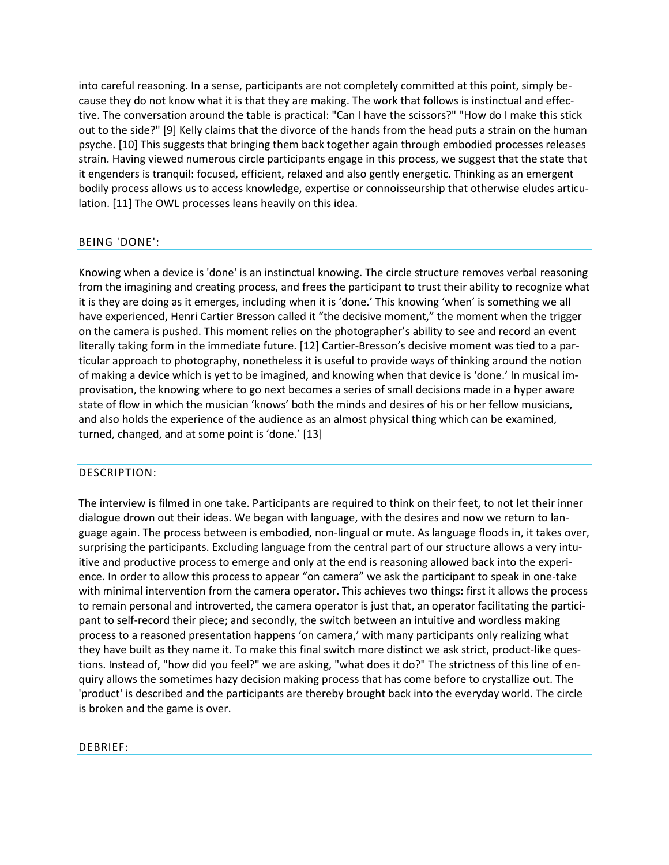into careful reasoning. In a sense, participants are not completely committed at this point, simply because they do not know what it is that they are making. The work that follows is instinctual and effective. The conversation around the table is practical: "Can I have the scissors?" "How do I make this stick out to the side?" [9] Kelly claims that the divorce of the hands from the head puts a strain on the human psyche. [10] This suggests that bringing them back together again through embodied processes releases strain. Having viewed numerous circle participants engage in this process, we suggest that the state that it engenders is tranquil: focused, efficient, relaxed and also gently energetic. Thinking as an emergent bodily process allows us to access knowledge, expertise or connoisseurship that otherwise eludes articulation. [11] The OWL processes leans heavily on this idea.

### BEING 'DONE':

Knowing when a device is 'done' is an instinctual knowing. The circle structure removes verbal reasoning from the imagining and creating process, and frees the participant to trust their ability to recognize what it is they are doing as it emerges, including when it is 'done.' This knowing 'when' is something we all have experienced, Henri Cartier Bresson called it "the decisive moment," the moment when the trigger on the camera is pushed. This moment relies on the photographer's ability to see and record an event literally taking form in the immediate future. [12] Cartier-Bresson's decisive moment was tied to a particular approach to photography, nonetheless it is useful to provide ways of thinking around the notion of making a device which is yet to be imagined, and knowing when that device is 'done.' In musical improvisation, the knowing where to go next becomes a series of small decisions made in a hyper aware state of flow in which the musician 'knows' both the minds and desires of his or her fellow musicians, and also holds the experience of the audience as an almost physical thing which can be examined, turned, changed, and at some point is 'done.' [13]

## DESCRIPTION:

The interview is filmed in one take. Participants are required to think on their feet, to not let their inner dialogue drown out their ideas. We began with language, with the desires and now we return to language again. The process between is embodied, non-lingual or mute. As language floods in, it takes over, surprising the participants. Excluding language from the central part of our structure allows a very intuitive and productive process to emerge and only at the end is reasoning allowed back into the experience. In order to allow this process to appear "on camera" we ask the participant to speak in one-take with minimal intervention from the camera operator. This achieves two things: first it allows the process to remain personal and introverted, the camera operator is just that, an operator facilitating the participant to self-record their piece; and secondly, the switch between an intuitive and wordless making process to a reasoned presentation happens 'on camera,' with many participants only realizing what they have built as they name it. To make this final switch more distinct we ask strict, product-like questions. Instead of, "how did you feel?" we are asking, "what does it do?" The strictness of this line of enquiry allows the sometimes hazy decision making process that has come before to crystallize out. The 'product' is described and the participants are thereby brought back into the everyday world. The circle is broken and the game is over.

#### DEBRIEF: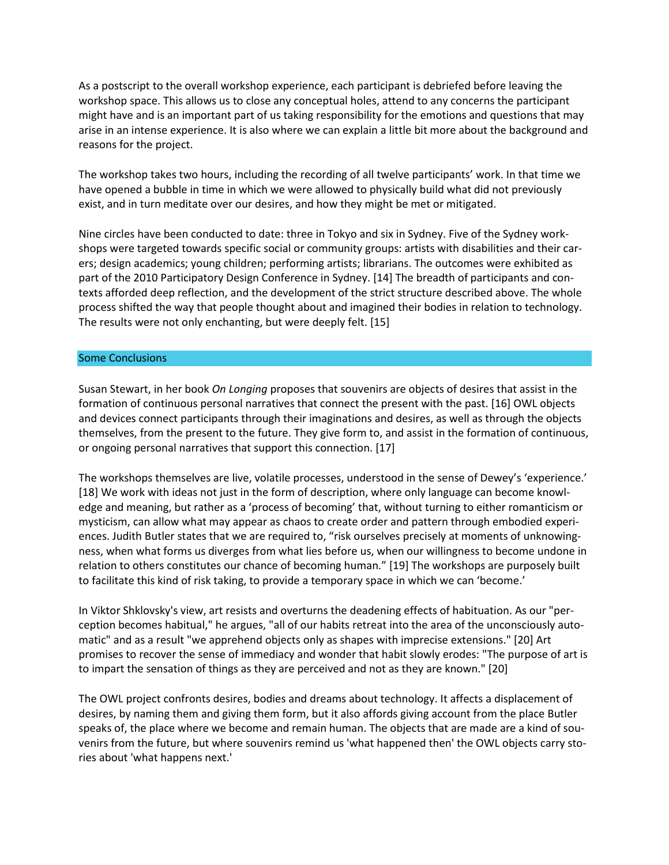As a postscript to the overall workshop experience, each participant is debriefed before leaving the workshop space. This allows us to close any conceptual holes, attend to any concerns the participant might have and is an important part of us taking responsibility for the emotions and questions that may arise in an intense experience. It is also where we can explain a little bit more about the background and reasons for the project.

The workshop takes two hours, including the recording of all twelve participants' work. In that time we have opened a bubble in time in which we were allowed to physically build what did not previously exist, and in turn meditate over our desires, and how they might be met or mitigated.

Nine circles have been conducted to date: three in Tokyo and six in Sydney. Five of the Sydney workshops were targeted towards specific social or community groups: artists with disabilities and their carers; design academics; young children; performing artists; librarians. The outcomes were exhibited as part of the 2010 Participatory Design Conference in Sydney. [14] The breadth of participants and contexts afforded deep reflection, and the development of the strict structure described above. The whole process shifted the way that people thought about and imagined their bodies in relation to technology. The results were not only enchanting, but were deeply felt. [15]

#### Some Conclusions

Susan Stewart, in her book *On Longing* proposes that souvenirs are objects of desires that assist in the formation of continuous personal narratives that connect the present with the past. [16] OWL objects and devices connect participants through their imaginations and desires, as well as through the objects themselves, from the present to the future. They give form to, and assist in the formation of continuous, or ongoing personal narratives that support this connection. [17]

The workshops themselves are live, volatile processes, understood in the sense of Dewey's 'experience.' [18] We work with ideas not just in the form of description, where only language can become knowledge and meaning, but rather as a 'process of becoming' that, without turning to either romanticism or mysticism, can allow what may appear as chaos to create order and pattern through embodied experiences. Judith Butler states that we are required to, "risk ourselves precisely at moments of unknowingness, when what forms us diverges from what lies before us, when our willingness to become undone in relation to others constitutes our chance of becoming human." [19] The workshops are purposely built to facilitate this kind of risk taking, to provide a temporary space in which we can 'become.'

In Viktor Shklovsky's view, art resists and overturns the deadening effects of habituation. As our "perception becomes habitual," he argues, "all of our habits retreat into the area of the unconsciously automatic" and as a result "we apprehend objects only as shapes with imprecise extensions." [20] Art promises to recover the sense of immediacy and wonder that habit slowly erodes: "The purpose of art is to impart the sensation of things as they are perceived and not as they are known." [20]

The OWL project confronts desires, bodies and dreams about technology. It affects a displacement of desires, by naming them and giving them form, but it also affords giving account from the place Butler speaks of, the place where we become and remain human. The objects that are made are a kind of souvenirs from the future, but where souvenirs remind us 'what happened then' the OWL objects carry stories about 'what happens next.'